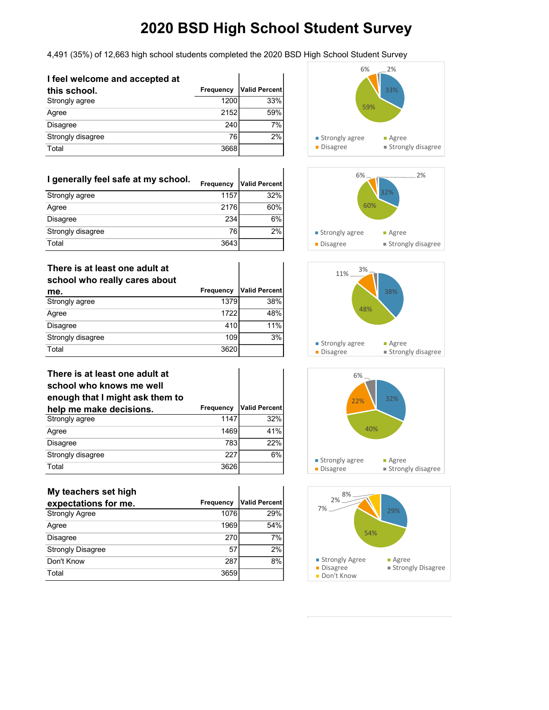4,491 (35%) of 12,663 high school students completed the 2020 BSD High School Student Survey

| I feel welcome and accepted at |                  |                      |
|--------------------------------|------------------|----------------------|
| this school.                   | <b>Frequency</b> | <b>Valid Percent</b> |
| Strongly agree                 | 1200             | 33%                  |
| Agree                          | 2152             | 59%                  |
| <b>Disagree</b>                | 240              | 7%                   |
| Strongly disagree              | 76               | 2%                   |
| Total                          | 3668             |                      |

| I generally feel safe at my school. | <b>Frequency</b> | <b>Valid Percent</b> |
|-------------------------------------|------------------|----------------------|
| Strongly agree                      | 1157             | 32%                  |
| Agree                               | 2176             | 60%                  |
| <b>Disagree</b>                     | 234              | 6%                   |
| Strongly disagree                   | 76               | 2%                   |
| Total                               | 3643             |                      |

#### **There is at least one adult at school who really cares about**

| school who really cares about |                  |                      |
|-------------------------------|------------------|----------------------|
| me.                           | <b>Frequency</b> | <b>Valid Percent</b> |
| Strongly agree                | 1379             | 38%                  |
| Agree                         | 1722             | 48%                  |
| <b>Disagree</b>               | 410              | 11%                  |
| Strongly disagree             | 109              | 3%                   |
| Total                         | 3620             |                      |

#### **There is at least one adult at school who knows me well**

| enough that I might ask them to |                  |                      |
|---------------------------------|------------------|----------------------|
| help me make decisions.         | <b>Frequency</b> | <b>Valid Percent</b> |
| Strongly agree                  | 1147             | 32%                  |
| Agree                           | 1469             | 41%                  |
| <b>Disagree</b>                 | 783              | 22%                  |
| Strongly disagree               | 227              | 6%                   |
| Total                           | 3626             |                      |

#### **My teachers set high**

| expectations for me.     | Frequency | <b>Valid Percent</b> |
|--------------------------|-----------|----------------------|
| <b>Strongly Agree</b>    | 1076      | 29%                  |
| Agree                    | 1969      | 54%                  |
| <b>Disagree</b>          | 270       | 7%                   |
| <b>Strongly Disagree</b> | 57        | 2%                   |
| Don't Know               | 287       | 8%                   |
| Total                    | 3659      |                      |









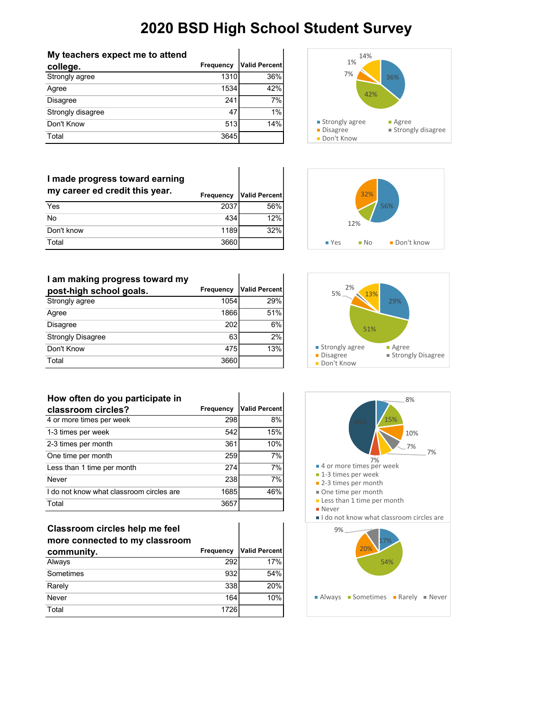| My teachers expect me to attend |                  |                      |
|---------------------------------|------------------|----------------------|
| college.                        | <b>Frequency</b> | <b>Valid Percent</b> |
| Strongly agree                  | 1310             | 36%                  |
| Agree                           | 1534             | 42%                  |
| <b>Disagree</b>                 | 241              | 7%                   |
| Strongly disagree               | 47               | 1%                   |
| Don't Know                      | 513              | 14%                  |
| Total                           | 3645             |                      |





## **I made progress toward earning**   $my$  career ed credit this year.

|            | <b>Lieduelicy</b> | <b>TVAIIU FEILEIII</b> |
|------------|-------------------|------------------------|
| Yes        | 2037              | 56%                    |
| No         | 434               | 12%                    |
| Don't know | 1189              | 32%                    |
| Total      | 3660              |                        |

| I am making progress toward my |                  |                      |
|--------------------------------|------------------|----------------------|
| post-high school goals.        | <b>Frequency</b> | <b>Valid Percent</b> |
| Strongly agree                 | 1054             | 29%                  |
| Agree                          | 1866             | 51%                  |
| <b>Disagree</b>                | 202              | 6%                   |
| <b>Strongly Disagree</b>       | 63               | 2%                   |
| Don't Know                     | 475              | 13%                  |
| Total                          | 3660             |                      |

## **How often do you participate in classroom circles? Frequency Valid Percent**<br>4 or more times per week 298 298 8% 4 or more times per week 1-3 times per week 542 15% 2-3 times per month 361 10% One time per month 259 7% Less than 1 time per month 274 274 Never 238 7% I do not know what classroom circles are 1685 46% Total 3657

#### **Classroom circles help me feel more connected to my classroom**

| community. | <b>Frequency</b> | <b>Valid Percent</b> |
|------------|------------------|----------------------|
| Always     | 292              | 17%                  |
| Sometimes  | 932              | 54%                  |
| Rarely     | 338              | 20%                  |
| Never      | 164              | 10%                  |
| Total      | 1726             |                      |



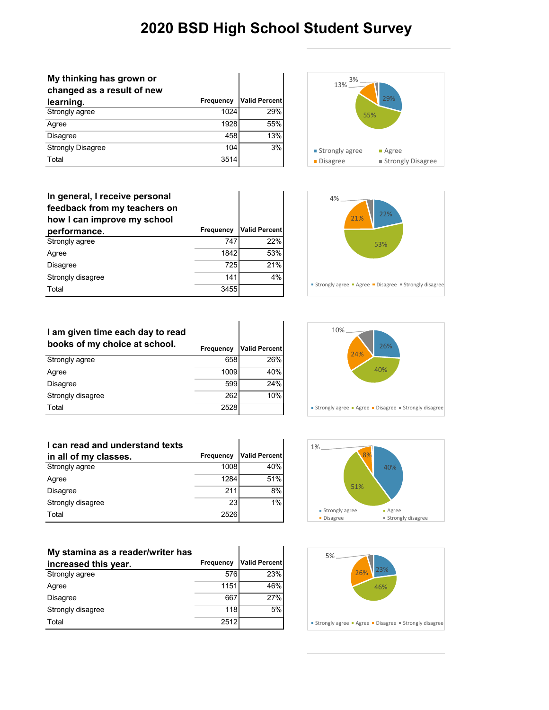| My thinking has grown or<br>changed as a result of new |                  |                      |
|--------------------------------------------------------|------------------|----------------------|
| learning.                                              | <b>Frequency</b> | <b>Valid Percent</b> |
| Strongly agree                                         | 1024             | 29%                  |
| Agree                                                  | 1928             | 55%                  |
| <b>Disagree</b>                                        | 458              | 13%                  |
| <b>Strongly Disagree</b>                               | 104              | 3%                   |
| Total                                                  | 3514             |                      |

## **In general, I receive personal feedback from my teachers on how I can improve my school performance. Frequency Valid Percent** Strongly agree 747 22%

| Agree             | 1842 | 53% |
|-------------------|------|-----|
| <b>Disagree</b>   | 725  | 21% |
| Strongly disagree | 141  | 4%  |
| Total             | 3455 |     |





| I am given time each day to read |                  |                      |
|----------------------------------|------------------|----------------------|
| books of my choice at school.    | <b>Frequency</b> | <b>Valid Percent</b> |
| Strongly agree                   | 658              | 26%                  |
| Agree                            | 1009             | 40%                  |
| <b>Disagree</b>                  | 599              | 24%                  |
| Strongly disagree                | 262              | 10%                  |
| Total                            | 2528             |                      |

| I can read and understand texts |                  |                      |
|---------------------------------|------------------|----------------------|
| in all of my classes.           | <b>Frequency</b> | <b>Valid Percent</b> |
| Strongly agree                  | 1008             | 40%                  |
| Agree                           | 1284             | 51%                  |
| <b>Disagree</b>                 | 211              | 8%                   |
| Strongly disagree               | 23               | 1%                   |
| Total                           | 2526             |                      |

| My stamina as a reader/writer has |                  |               |
|-----------------------------------|------------------|---------------|
| increased this year.              | <b>Frequency</b> | Valid Percent |
| Strongly agree                    | 576              | 23%           |
| Agree                             | 1151             | 46%           |
| <b>Disagree</b>                   | 667              | 27%           |
| Strongly disagree                 | 118              | 5%            |
| Total                             | 2512             |               |





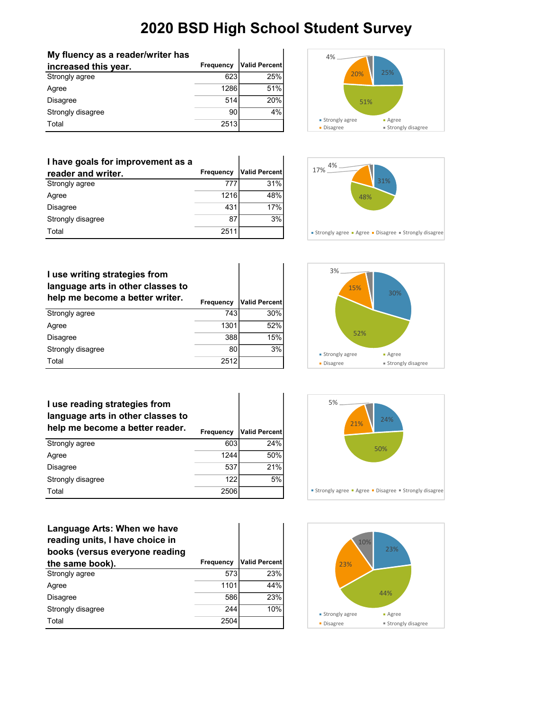| My fluency as a reader/writer has |           |               |
|-----------------------------------|-----------|---------------|
| increased this year.              | Frequency | Valid Percent |
| Strongly agree                    | 623       | 25%           |
| Agree                             | 1286      | 51%           |
| <b>Disagree</b>                   | 514       | 20%           |
| Strongly disagree                 | 90        | 4%            |
| Total                             | 2513      |               |



| I have goals for improvement as a |                  |                      |
|-----------------------------------|------------------|----------------------|
| reader and writer.                | <b>Frequency</b> | <b>Valid Percent</b> |
| Strongly agree                    | 777              | 31%                  |
| Agree                             | 1216             | 48%                  |
| <b>Disagree</b>                   | 431              | 17%                  |
| Strongly disagree                 | 87               | 3%                   |
| Total                             | 2511             |                      |



| I use writing strategies from<br>language arts in other classes to<br>help me become a better writer. | <b>Frequency</b> | <b>Valid Percent</b> |
|-------------------------------------------------------------------------------------------------------|------------------|----------------------|
| Strongly agree                                                                                        | 743              | 30%                  |
| Agree                                                                                                 | 1301             | 52%                  |
| <b>Disagree</b>                                                                                       | 388              | 15%                  |
| Strongly disagree                                                                                     | 80               | 3%                   |
| Total                                                                                                 | 2512             |                      |



| I use reading strategies from<br>language arts in other classes to<br>help me become a better reader. | <b>Frequency</b> | <b>Valid Percent</b> |
|-------------------------------------------------------------------------------------------------------|------------------|----------------------|
| Strongly agree                                                                                        | 603              | 24%                  |
| Agree                                                                                                 | 1244             | 50%                  |
| <b>Disagree</b>                                                                                       | 537              | 21%                  |
| Strongly disagree                                                                                     | 122              | 5%                   |
| Total                                                                                                 | 2506             |                      |

## **Language Arts: When we have**

| reading units, I have choice in<br>books (versus everyone reading |                  |                      |
|-------------------------------------------------------------------|------------------|----------------------|
| the same book).                                                   | <b>Frequency</b> | <b>Valid Percent</b> |
| Strongly agree                                                    | 573              | 23%                  |
| Agree                                                             | 1101             | 44%                  |
| <b>Disagree</b>                                                   | 586              | 23%                  |
| Strongly disagree                                                 | 244              | 10%                  |
| Total                                                             | 2504             |                      |



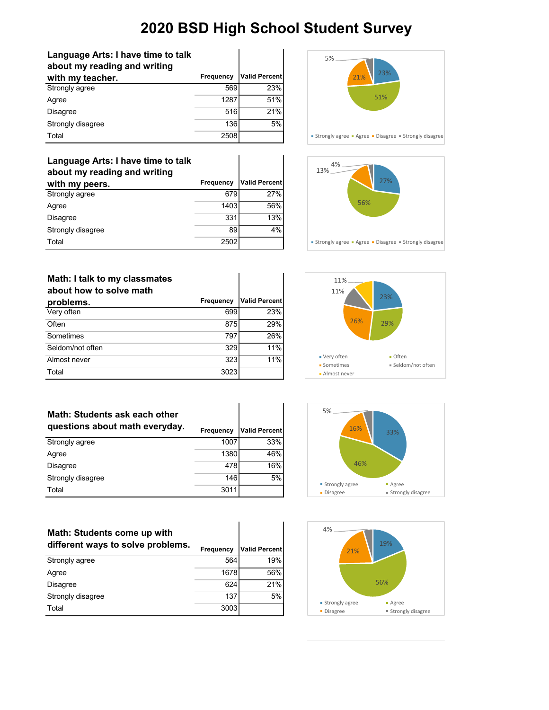#### **Language Arts: I have time to talk about my reading and writing**

| about my reading and writing |                  |                      |
|------------------------------|------------------|----------------------|
| with my teacher.             | <b>Frequency</b> | <b>Valid Percent</b> |
| Strongly agree               | 569              | 23%                  |
| Agree                        | 1287             | 51%                  |
| <b>Disagree</b>              | 516              | 21%                  |
| Strongly disagree            | 136              | 5%                   |
| Total                        | 2508             |                      |

## **Language Arts: I have time to talk about my reading and writing**

| with my peers.    | <b>Frequency</b> | <b>Valid Percent</b> |
|-------------------|------------------|----------------------|
| Strongly agree    | 679              | 27%                  |
| Agree             | 1403             | 56%                  |
| <b>Disagree</b>   | 331              | 13%                  |
| Strongly disagree | 89               | 4%                   |
| Total             | 2502             |                      |

#### **Math: I talk to my classmates about how to solve math**

| <b>ADOUL HOW TO SOIVE HIGHT</b> |           |                      |
|---------------------------------|-----------|----------------------|
| problems.                       | Frequency | <b>Valid Percent</b> |
| Very often                      | 699       | 23%                  |
| Often                           | 875       | 29%                  |
| Sometimes                       | 797       | 26%                  |
| Seldom/not often                | 329       | 11%                  |
| Almost never                    | 323       | 11%                  |
| Total                           | 3023      |                      |

| Math: Students ask each other<br>questions about math everyday. | Frequency | <b>Valid Percent</b> |
|-----------------------------------------------------------------|-----------|----------------------|
| Strongly agree                                                  | 1007      | 33%                  |
| Agree                                                           | 1380      | 46%                  |
| <b>Disagree</b>                                                 | 478       | 16%                  |
| Strongly disagree                                               | 146       | 5%                   |
| Total                                                           | 3011      |                      |

## **Math: Students come up with different ways to solve problems. Frequency Valid Percent** Strongly agree 564 19% Agree 1678 56% Disagree 624 21% Strongly disagree 137 5% Total 3003









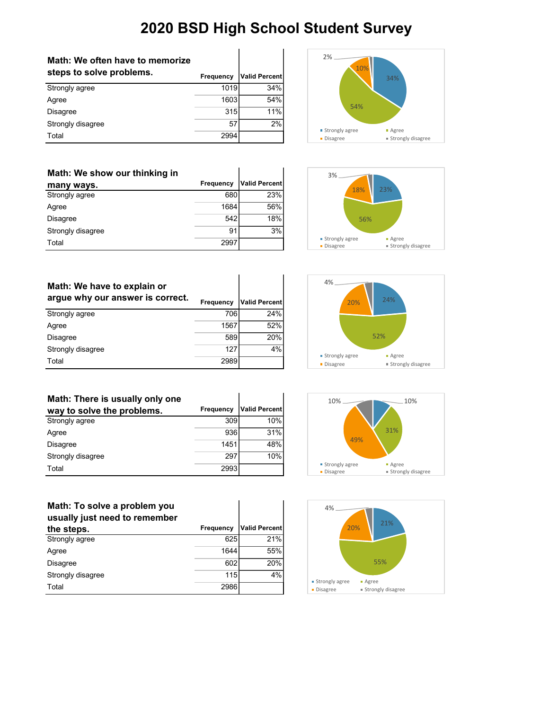| Math: We often have to memorize<br>steps to solve problems. | <b>Frequency</b> | <b>Valid Percent</b> |
|-------------------------------------------------------------|------------------|----------------------|
| Strongly agree                                              | 1019             | 34%                  |
| Agree                                                       | 1603             | 54%                  |
| <b>Disagree</b>                                             | 315              | 11%                  |
| Strongly disagree                                           | 57               | 2%                   |
| Total                                                       | 2994             |                      |

**many ways.**<br> **Frequency Valid Percent**<br> **Strongly agree** 680 23%

Agree 1684 56% Disagree 542 18% Strongly disagree 91 3%

Total 2997

**Math: We show our thinking in** 

Strongly agree





| Math: We have to explain or<br>argue why our answer is correct. | Frequency | <b>Valid Percent</b> |
|-----------------------------------------------------------------|-----------|----------------------|
| Strongly agree                                                  | 706       | 24%                  |
| Agree                                                           | 1567      | 52%                  |
| <b>Disagree</b>                                                 | 589       | 20%                  |
| Strongly disagree                                               | 127       | 4%                   |
| Total                                                           | 2989      |                      |

| Math: There is usually only one |           |               |
|---------------------------------|-----------|---------------|
| way to solve the problems.      | Frequency | Valid Percent |
| Strongly agree                  | 309       | 10%           |
| Agree                           | 936       | 31%           |
| <b>Disagree</b>                 | 1451      | 48%           |
| Strongly disagree               | 297       | 10%           |
| Total                           | 2993      |               |

| Math: To solve a problem you  |
|-------------------------------|
| usually just need to remember |

| the steps.        | Frequency | <b>Valid Percent</b> |
|-------------------|-----------|----------------------|
| Strongly agree    | 625       | 21%                  |
| Agree             | 1644      | 55%                  |
| <b>Disagree</b>   | 602       | 20%                  |
| Strongly disagree | 115       | 4%                   |
| Total             | 2986      |                      |





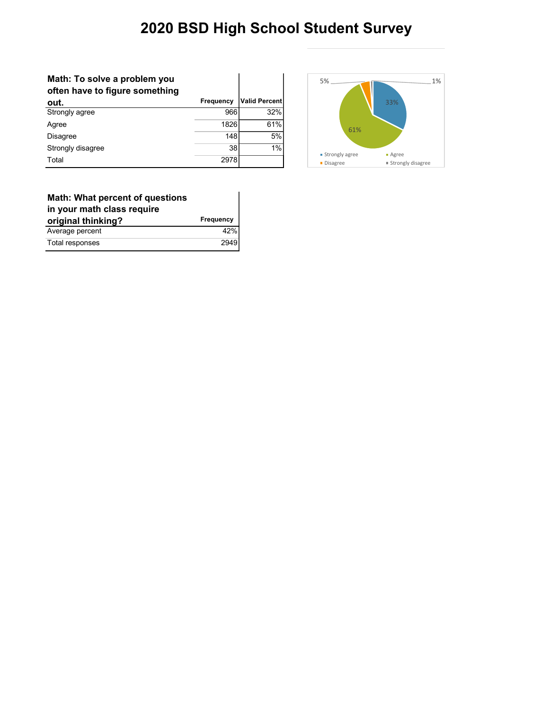### **Math: To solve a problem you often have to figure something out. Frequency Valid Percent**<br> **Strongly agree** 32% Strongly agree Agree 1826 61% Disagree 5%

Strongly disagree 38 1%



| <b>Math: What percent of questions</b><br>in your math class require |                  |
|----------------------------------------------------------------------|------------------|
| original thinking?                                                   | <b>Frequency</b> |
| Average percent                                                      | 42%              |
| Total responses                                                      | 2949             |

Total 2978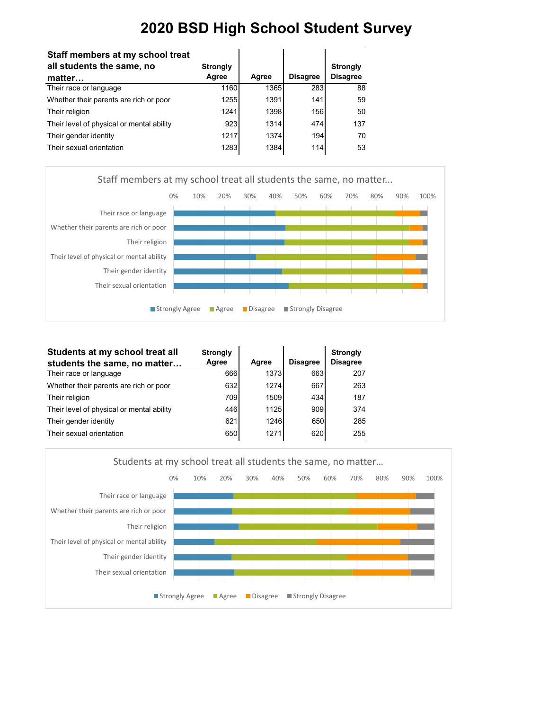| Staff members at my school treat          |                 |       |                 |                 |
|-------------------------------------------|-----------------|-------|-----------------|-----------------|
| all students the same, no                 | <b>Strongly</b> |       |                 | <b>Strongly</b> |
| matter                                    | Agree           | Agree | <b>Disagree</b> | <b>Disagree</b> |
| Their race or language                    | 1160            | 1365  | 283             | 88              |
| Whether their parents are rich or poor    | 1255            | 1391  | 141             | 59              |
| Their religion                            | 1241            | 1398  | 156             | 50              |
| Their level of physical or mental ability | 923             | 1314  | 474             | 137             |
| Their gender identity                     | 1217            | 1374  | 194             | 70              |
| Their sexual orientation                  | 1283            | 1384  | 114             | 53              |



| Students at my school treat all           | <b>Strongly</b><br>Agree | Agree | <b>Disagree</b> | <b>Strongly</b><br><b>Disagree</b> |
|-------------------------------------------|--------------------------|-------|-----------------|------------------------------------|
| students the same, no matter              |                          |       |                 |                                    |
| Their race or language                    | 666                      | 1373  | 663             | 207                                |
| Whether their parents are rich or poor    | 632                      | 1274  | 667             | 263                                |
| Their religion                            | 709                      | 1509  | 434             | 187                                |
| Their level of physical or mental ability | 446                      | 1125  | 909             | 374                                |
| Their gender identity                     | 621                      | 1246  | 650             | 285                                |
| Their sexual orientation                  | 650                      | 1271  | 620             | 255                                |

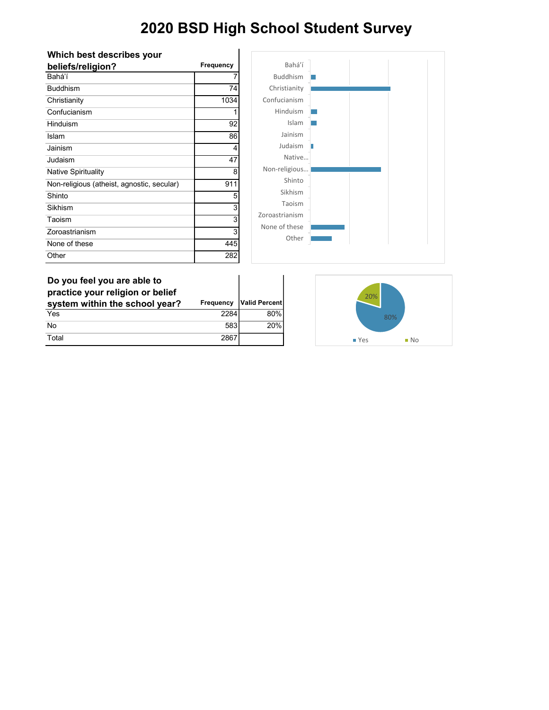l,

| Which best describes your                  |           |             |
|--------------------------------------------|-----------|-------------|
| beliefs/religion?                          | Frequency | Е           |
| Bahá'í                                     |           | <b>Budc</b> |
| <b>Buddhism</b>                            | 74        | Christi     |
| Christianity                               | 1034      | Confucia    |
| Confucianism                               |           | Hinc        |
| Hinduism                                   | 92        |             |
| Islam                                      | 86        | Ja          |
| Jainism                                    | 4         | Juc         |
| Judaism                                    | 47        | N           |
| <b>Native Spirituality</b>                 | 8         | Non-reli    |
| Non-religious (atheist, agnostic, secular) | 911       | S           |
| Shinto                                     | 5         | Sil         |
| Sikhism                                    | 3         | Τa          |
| Taoism                                     | 3         | Zoroastria  |
| Zoroastrianism                             | 3         | None of t   |
| None of these                              | 445       |             |
| Other                                      | 282       |             |
|                                            |           |             |



| Do you feel you are able to<br>practice your religion or belief |           |               |
|-----------------------------------------------------------------|-----------|---------------|
| system within the school year?                                  | Frequency | Valid Percent |
| Yes                                                             | 2284      | 80%           |
| No                                                              | 583       | 20%           |
| Total                                                           | 2867      |               |

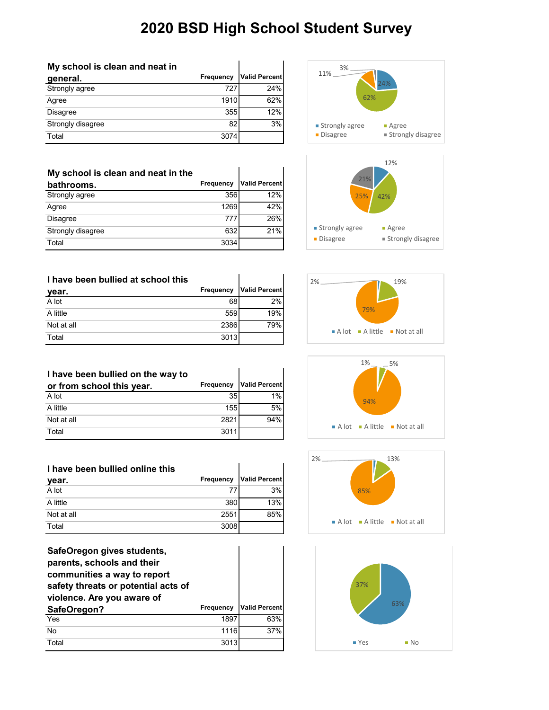| My school is clean and neat in |           |                      |
|--------------------------------|-----------|----------------------|
| general.                       | Frequency | <b>Valid Percent</b> |
| Strongly agree                 | 727       | 24%                  |
| Agree                          | 1910      | 62%                  |
| <b>Disagree</b>                | 355       | 12%                  |
| Strongly disagree              | 82        | 3%                   |
| Total                          | 3074      |                      |

| My school is clean and neat in the |                  |               |
|------------------------------------|------------------|---------------|
| bathrooms.                         | <b>Frequency</b> | Valid Percent |
| Strongly agree                     | 356              | 12%           |
| Agree                              | 1269             | 42%           |
| <b>Disagree</b>                    | 777              | 26%           |
| Strongly disagree                  | 632              | 21%           |
| Total                              | 3034             |               |

#### **I have been bullied at school this**

| vear.      | Frequency | <b>Valid Percent</b> |
|------------|-----------|----------------------|
| A lot      | 68        | 2%                   |
| A little   | 559       | 19%                  |
| Not at all | 2386      | 79%                  |
| Total      | 3013      |                      |

#### **I have been bullied on the way to**

| or from school this year. | Frequency | Valid Percent |
|---------------------------|-----------|---------------|
| A lot                     | 35        | 1%l           |
| A little                  | 155       | 5%            |
| Not at all                | 2821      | 94%           |
| Total                     | 3011      |               |

 $\overline{\phantom{a}}$ 

 $\mathbf{I}$ 

| I have been bullied online this |           |               |
|---------------------------------|-----------|---------------|
| year.                           | Frequency | Valid Percent |
| A lot                           | 77        | 3%            |
| A little                        | 380       | 13%           |
| Not at all                      | 2551      | 85%           |
| Total                           | 3008      |               |

| SafeOregon gives students,<br>parents, schools and their<br>communities a way to report<br>safety threats or potential acts of<br>violence. Are you aware of |                  |                      |
|--------------------------------------------------------------------------------------------------------------------------------------------------------------|------------------|----------------------|
| SafeOregon?                                                                                                                                                  | <b>Frequency</b> | <b>Valid Percent</b> |
| Yes                                                                                                                                                          | 1897             | 63%                  |
| <b>No</b>                                                                                                                                                    | 1116             | 37%                  |
| Total                                                                                                                                                        | 3013             |                      |











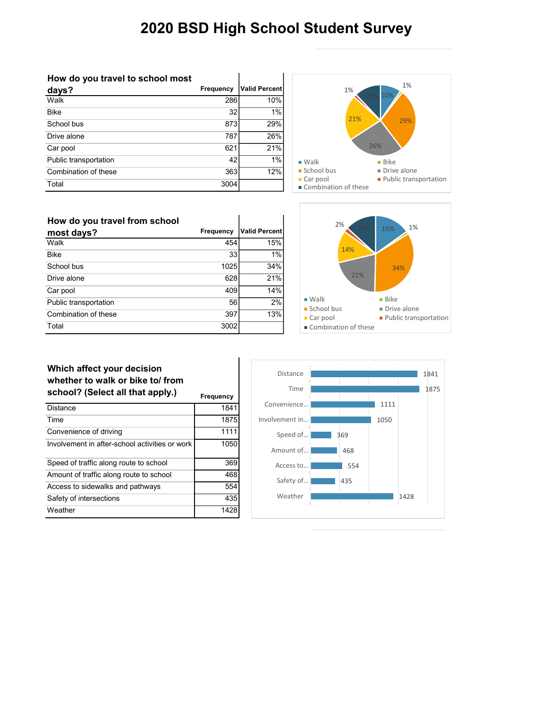#### **How do you travel to school most**

| days?                 | Frequency | Valid Percent |
|-----------------------|-----------|---------------|
| Walk                  | 286       | 10%           |
| <b>Bike</b>           | 32        | 1%            |
| School bus            | 873       | 29%           |
| Drive alone           | 787       | 26%           |
| Car pool              | 621       | 21%           |
| Public transportation | 42        | $1\%$         |
| Combination of these  | 363       | 12%           |
| Total                 | 3004      |               |



### **How do you travel from school most days? Frequency Valid Percent**<br>
Walk 45% 45% Walk  $\begin{array}{ccc} 454 \end{array}$  15% Bike  $33$  1% School bus 1025 34% Drive alone 628 21% Car pool and the contract of the contract of the contract of the contract of the contract of the contract of the contract of the contract of the contract of the contract of the contract of the contract of the contract of t Public transportation 56 2% Combination of these 397 13% Total 3002



#### **Which affect your decision whether to walk or bike to/ from**  school? (Select all that apply.)

|                                                | <b>Frequency</b> |
|------------------------------------------------|------------------|
| <b>Distance</b>                                | 1841             |
| Time                                           | 1875             |
| Convenience of driving                         | 1111             |
| Involvement in after-school activities or work | 1050             |
| Speed of traffic along route to school         | 369              |
| Amount of traffic along route to school        | 468              |
| Access to sidewalks and pathways               | 554              |
| Safety of intersections                        | 435              |
| Weather                                        | 1428             |

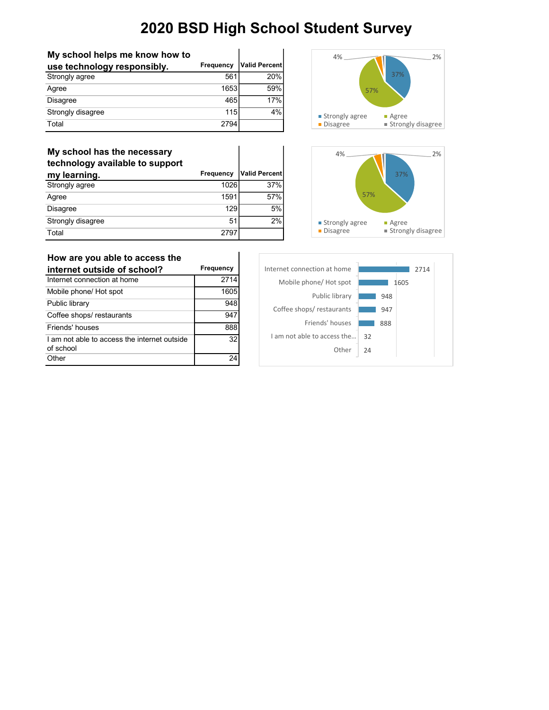Ï

| My school helps me know how to |           |                      |
|--------------------------------|-----------|----------------------|
| use technology responsibly.    | Frequency | <b>Valid Percent</b> |
| Strongly agree                 | 561       | 20%                  |
| Agree                          | 1653      | 59%                  |
| <b>Disagree</b>                | 465       | 17%                  |
| Strongly disagree              | 115       | 4%                   |
| Total                          | 2794      |                      |

## **My school has the necessary**

| technology available to support |           |                      |
|---------------------------------|-----------|----------------------|
| my learning.                    | Frequency | <b>Valid Percent</b> |
| Strongly agree                  | 1026      | 37%                  |
| Agree                           | 1591      | 57%                  |
| Disagree                        | 129       | 5%                   |
| Strongly disagree               | 51        | 2%                   |
| Total                           | 2797      |                      |





#### **How are you able to access the**

| internet outside of school?                               | <b>Frequency</b> |
|-----------------------------------------------------------|------------------|
| Internet connection at home                               | 2714             |
| Mobile phone/ Hot spot                                    | 1605             |
| Public library                                            | 948              |
| Coffee shops/restaurants                                  | 947              |
| Friends' houses                                           | 888              |
| I am not able to access the internet outside<br>of school | 32               |
| Other                                                     |                  |

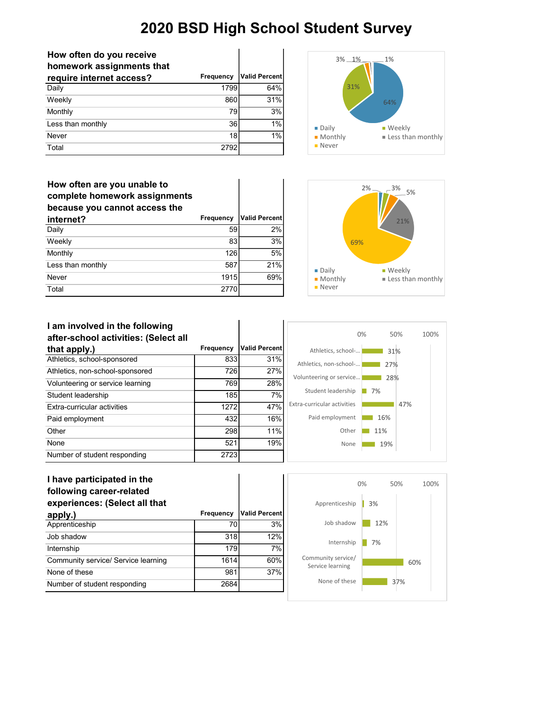| How often do you receive  |                  |                      |
|---------------------------|------------------|----------------------|
| homework assignments that |                  |                      |
| require internet access?  | <b>Frequency</b> | <b>Valid Percent</b> |
| Daily                     | 1799             | 64%                  |
| Weekly                    | 860              | 31%                  |
| Monthly                   | 79               | 3%                   |
| Less than monthly         | 36               | 1%                   |
| Never                     | 18               | 1%                   |
| Total                     | 2792             |                      |

## **How often are you unable to complete homework assignments because you cannot access the internet? Frequency Valid Percent** Daily  $\begin{array}{ccc} 59 \ 2\% \end{array}$  $\textsf{Weekly}\qquad \qquad \qquad \qquad \textsf{83} \qquad \qquad \textsf{3\%}$ Monthly 5% Less than monthly 687 21% Never 1915 69% Total 2770





#### **I am involved in the following after-school activities: (Select all**

| that apply.)                     | Frequency | <b>Valid Percent</b> |
|----------------------------------|-----------|----------------------|
| Athletics, school-sponsored      | 833       | 31%                  |
| Athletics, non-school-sponsored  | 726       | 27%                  |
| Volunteering or service learning | 769       | 28%                  |
| Student leadership               | 185       | 7%                   |
| Extra-curricular activities      | 1272      | 47%                  |
| Paid employment                  | 432       | 16%                  |
| Other                            | 298       | 11%                  |
| None                             | 521       | 19%                  |
| Number of student responding     | 2723      |                      |



## **I have participated in the following career-related experiences: (Select all that apply.) Frequency Valid Percent** Apprenticeship 3% Job shadow 318 12% Internship 7% Community service/ Service learning 1614 60% None of these 981 37% Number of student responding and the 2684

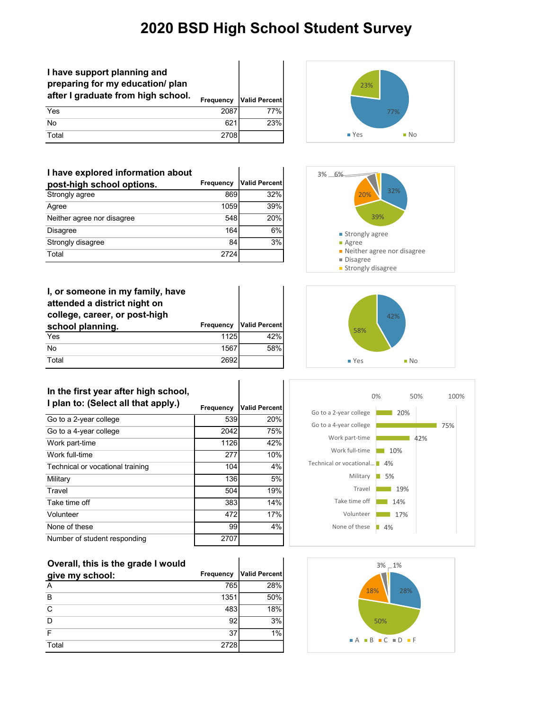$\overline{\phantom{a}}$ 

#### **I have support planning and preparing for my education/ plan after I graduate from high school.**

|       |      | <b>Frequency   Valid Percent</b> |
|-------|------|----------------------------------|
| Yes   | 2087 | 77%                              |
| No    | 621  | 23%                              |
| Total | 2708 |                                  |

#### **I have explored information about**

| post-high school options.  | <b>Frequency</b> | <b>Valid Percent</b> |
|----------------------------|------------------|----------------------|
| Strongly agree             | 869              | 32%                  |
| Agree                      | 1059             | 39%                  |
| Neither agree nor disagree | 548              | 20%                  |
| <b>Disagree</b>            | 164              | 6%                   |
| Strongly disagree          | 84               | 3%                   |
| Total                      | 2724             |                      |

#### **I, or someone in my family, have**

#### **attended a district night on**

| college, career, or post-high |           |                      |
|-------------------------------|-----------|----------------------|
| school planning.              | Frequency | <b>Valid Percent</b> |
| Yes                           | 1125      | 42%                  |
| No                            | 1567      | 58%                  |
| Total                         | 2692      |                      |

| In the first year after high school, |           |                      |
|--------------------------------------|-----------|----------------------|
| I plan to: (Select all that apply.)  | Frequency | <b>Valid Percent</b> |
| Go to a 2-year college               | 539       | 20%                  |
| Go to a 4-year college               | 2042      | 75%                  |
| Work part-time                       | 1126      | 42%                  |
| Work full-time                       | 277       | 10%                  |
| Technical or vocational training     | 104       | 4%                   |
| Military                             | 136       | 5%                   |
| Travel                               | 504       | 19%                  |
| Take time off                        | 383       | 14%                  |
| Volunteer                            | 472       | 17%                  |
| None of these                        | 99        | 4%                   |
| Number of student responding         | 2707      |                      |

| Overall, this is the grade I would |                  |                      |
|------------------------------------|------------------|----------------------|
| give my school:                    | <b>Frequency</b> | <b>Valid Percent</b> |
| A                                  | 765              | 28%                  |
| B                                  | 1351             | 50%                  |
| $\mathsf{C}$                       | 483              | 18%                  |
| D                                  | 92               | 3%                   |
| F                                  | 37               | 1%                   |
| Total                              | 2728             |                      |